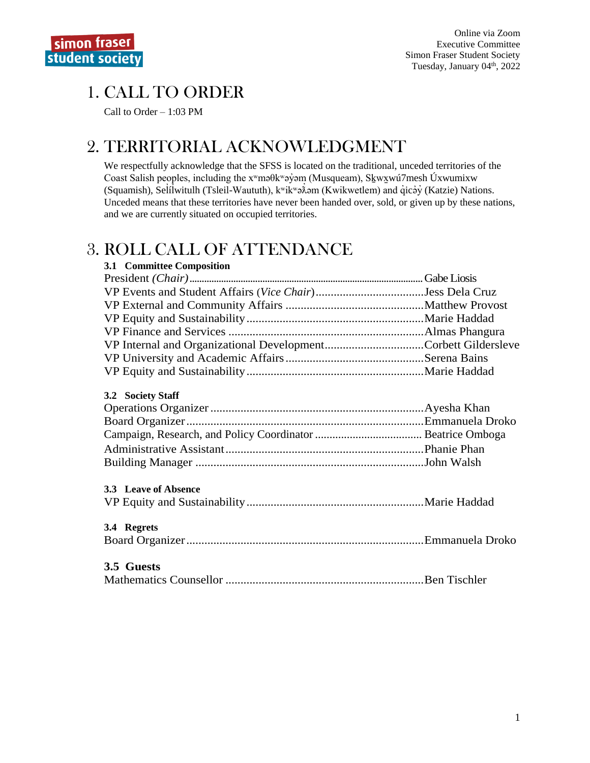# 1. CALL TO ORDER

Call to Order – 1:03 PM

# 2. TERRITORIAL ACKNOWLEDGMENT

We respectfully acknowledge that the SFSS is located on the traditional, unceded territories of the Coast Salish peoples, including the xʷməθkʷəy̓əm (Musqueam), Sḵwx̱wú7mesh Úxwumixw (Squamish), Selilwitulh (Tsleil-Waututh), k<sup>w</sup>ik<sup>w</sup>ə $\hat{x}$ əm (Kwikwetlem) and qıcəy (Katzie) Nations. Unceded means that these territories have never been handed over, sold, or given up by these nations, and we are currently situated on occupied territories.

# 3. ROLL CALL OF ATTENDANCE

| 3.1 Committee Composition                                     |  |
|---------------------------------------------------------------|--|
|                                                               |  |
|                                                               |  |
|                                                               |  |
|                                                               |  |
|                                                               |  |
| VP Internal and Organizational DevelopmentCorbett Gildersleve |  |
|                                                               |  |
|                                                               |  |
| 3.2 Society Staff                                             |  |
|                                                               |  |
|                                                               |  |
|                                                               |  |
|                                                               |  |
|                                                               |  |
| 3.3 Leave of Absence                                          |  |
|                                                               |  |
| 3.4 Regrets                                                   |  |
|                                                               |  |
| 3.5 Guests                                                    |  |
|                                                               |  |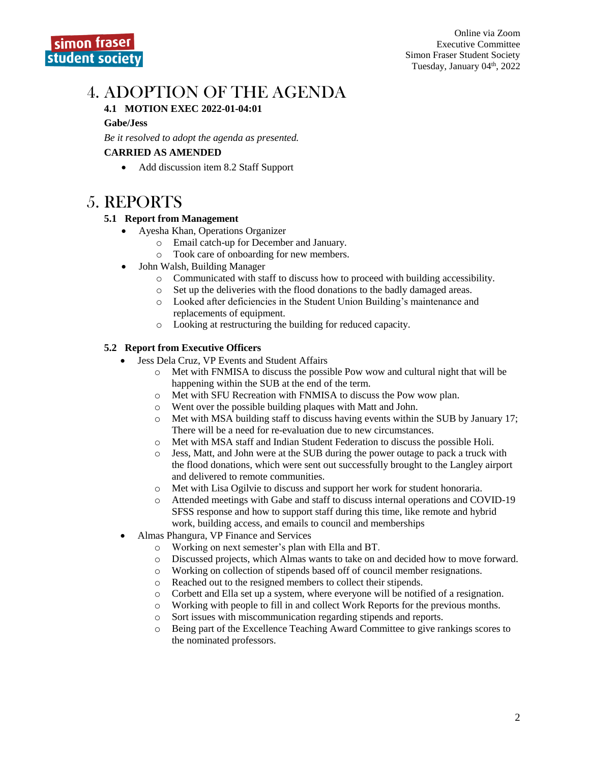# 4. ADOPTION OF THE AGENDA

#### **4.1 MOTION EXEC 2022-01-04:01**

#### **Gabe/Jess**

*Be it resolved to adopt the agenda as presented.*

#### **CARRIED AS AMENDED**

• Add discussion item 8.2 Staff Support

## 5. REPORTS

#### **5.1 Report from Management**

- Ayesha Khan, Operations Organizer
	- o Email catch-up for December and January.
	- o Took care of onboarding for new members.
- John Walsh, Building Manager
	- o Communicated with staff to discuss how to proceed with building accessibility.
	- o Set up the deliveries with the flood donations to the badly damaged areas.
	- o Looked after deficiencies in the Student Union Building's maintenance and replacements of equipment.
	- o Looking at restructuring the building for reduced capacity.

#### **5.2 Report from Executive Officers**

- Jess Dela Cruz, VP Events and Student Affairs
	- $\circ$  Met with FNMISA to discuss the possible Pow wow and cultural night that will be happening within the SUB at the end of the term.
	- o Met with SFU Recreation with FNMISA to discuss the Pow wow plan.
	- o Went over the possible building plaques with Matt and John.
	- o Met with MSA building staff to discuss having events within the SUB by January 17; There will be a need for re-evaluation due to new circumstances.
	- o Met with MSA staff and Indian Student Federation to discuss the possible Holi.
	- o Jess, Matt, and John were at the SUB during the power outage to pack a truck with the flood donations, which were sent out successfully brought to the Langley airport and delivered to remote communities.
	- o Met with Lisa Ogilvie to discuss and support her work for student honoraria.
	- o Attended meetings with Gabe and staff to discuss internal operations and COVID-19 SFSS response and how to support staff during this time, like remote and hybrid work, building access, and emails to council and memberships
- Almas Phangura, VP Finance and Services
	- o Working on next semester's plan with Ella and BT.
	- o Discussed projects, which Almas wants to take on and decided how to move forward.
	- o Working on collection of stipends based off of council member resignations.
	- o Reached out to the resigned members to collect their stipends.
	- o Corbett and Ella set up a system, where everyone will be notified of a resignation.
	- o Working with people to fill in and collect Work Reports for the previous months.
	- o Sort issues with miscommunication regarding stipends and reports.
	- o Being part of the Excellence Teaching Award Committee to give rankings scores to the nominated professors.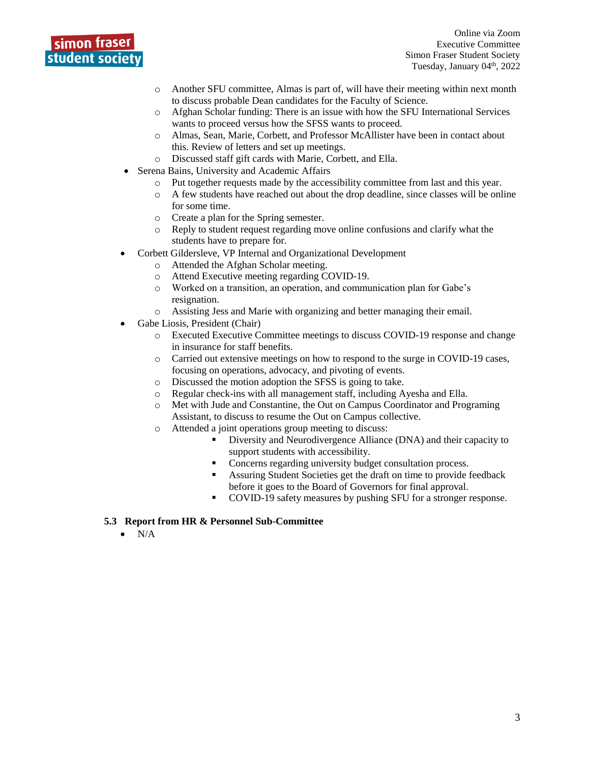

Online via Zoom Executive Committee Simon Fraser Student Society Tuesday, January 04<sup>th</sup>, 2022

- o Another SFU committee, Almas is part of, will have their meeting within next month to discuss probable Dean candidates for the Faculty of Science.
- o Afghan Scholar funding: There is an issue with how the SFU International Services wants to proceed versus how the SFSS wants to proceed.
- o Almas, Sean, Marie, Corbett, and Professor McAllister have been in contact about this. Review of letters and set up meetings.
- o Discussed staff gift cards with Marie, Corbett, and Ella.
- Serena Bains, University and Academic Affairs
	- o Put together requests made by the accessibility committee from last and this year.
	- $\circ$  A few students have reached out about the drop deadline, since classes will be online for some time.
	- o Create a plan for the Spring semester.
	- o Reply to student request regarding move online confusions and clarify what the students have to prepare for.
- Corbett Gildersleve, VP Internal and Organizational Development
	- o Attended the Afghan Scholar meeting.
	- o Attend Executive meeting regarding COVID-19.
	- o Worked on a transition, an operation, and communication plan for Gabe's resignation.
	- o Assisting Jess and Marie with organizing and better managing their email.
- Gabe Liosis, President (Chair)
	- o Executed Executive Committee meetings to discuss COVID-19 response and change in insurance for staff benefits.
	- o Carried out extensive meetings on how to respond to the surge in COVID-19 cases, focusing on operations, advocacy, and pivoting of events.
	- o Discussed the motion adoption the SFSS is going to take.
	- o Regular check-ins with all management staff, including Ayesha and Ella.
	- o Met with Jude and Constantine, the Out on Campus Coordinator and Programing Assistant, to discuss to resume the Out on Campus collective.
	- o Attended a joint operations group meeting to discuss:
		- Diversity and Neurodivergence Alliance (DNA) and their capacity to support students with accessibility.
		- Concerns regarding university budget consultation process.
		- Assuring Student Societies get the draft on time to provide feedback before it goes to the Board of Governors for final approval.
		- COVID-19 safety measures by pushing SFU for a stronger response.

#### **5.3 Report from HR & Personnel Sub-Committee**

 $\bullet$  N/A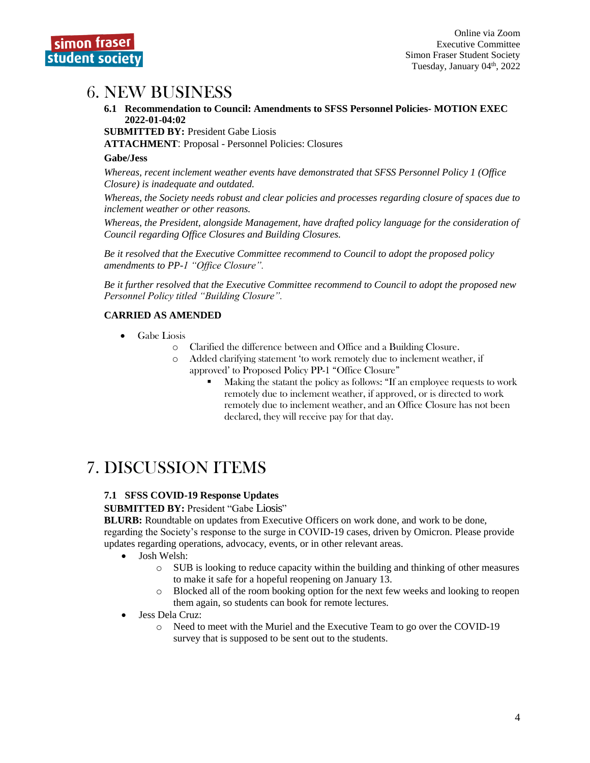

## 6. NEW BUSINESS

**6.1 Recommendation to Council: Amendments to SFSS Personnel Policies- MOTION EXEC 2022-01-04:02**

**SUBMITTED BY:** President Gabe Liosis

**ATTACHMENT**: Proposal - [Personnel Policies: Closures](https://docs.google.com/document/d/1OEgt_qWSf5u8kr1AxucxfBHp21qZ32dprSQGlMQmfj0/edit?usp=sharing)

#### **Gabe/Jess**

*Whereas, recent inclement weather events have demonstrated that SFSS Personnel Policy 1 (Office Closure) is inadequate and outdated.*

*Whereas, the Society needs robust and clear policies and processes regarding closure of spaces due to inclement weather or other reasons.*

*Whereas, the President, alongside Management, have drafted policy language for the consideration of Council regarding Office Closures and Building Closures.*

*Be it resolved that the Executive Committee recommend to Council to adopt the proposed policy amendments to PP-1 "Office Closure".*

*Be it further resolved that the Executive Committee recommend to Council to adopt the proposed new Personnel Policy titled "Building Closure".*

#### **CARRIED AS AMENDED**

- Gabe Liosis
	- o Clarified the difference between and Office and a Building Closure.
	- o Added clarifying statement 'to work remotely due to inclement weather, if approved' to Proposed Policy PP-1 "Office Closure"
		- Making the statant the policy as follows: "If an employee requests to work remotely due to inclement weather, if approved, or is directed to work remotely due to inclement weather, and an Office Closure has not been declared, they will receive pay for that day.

# 7. DISCUSSION ITEMS

#### **7.1 SFSS COVID-19 Response Updates**

#### **SUBMITTED BY: President "Gabe Liosis"**

**BLURB:** Roundtable on updates from Executive Officers on work done, and work to be done, regarding the Society's response to the surge in COVID-19 cases, driven by Omicron. Please provide updates regarding operations, advocacy, events, or in other relevant areas.

- Josh Welsh:
	- o SUB is looking to reduce capacity within the building and thinking of other measures to make it safe for a hopeful reopening on January 13.
	- o Blocked all of the room booking option for the next few weeks and looking to reopen them again, so students can book for remote lectures.
- Jess Dela Cruz:
	- o Need to meet with the Muriel and the Executive Team to go over the COVID-19 survey that is supposed to be sent out to the students.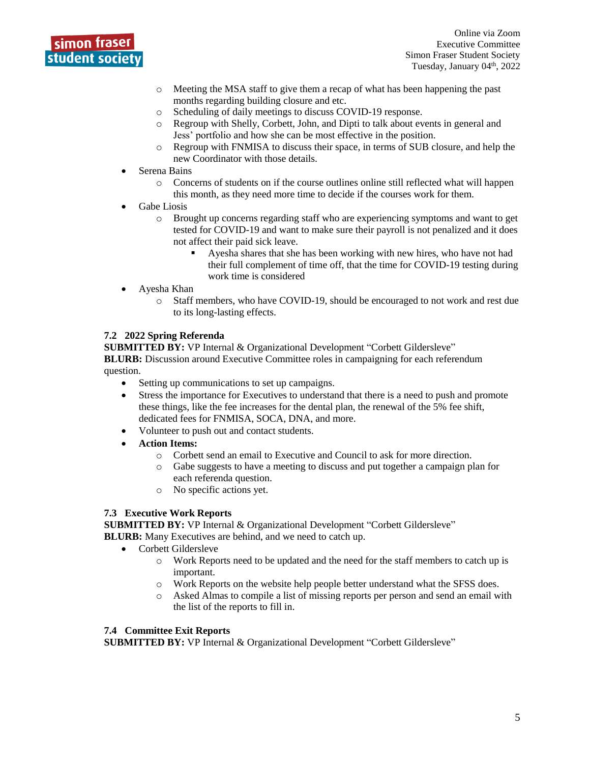

Online via Zoom Executive Committee Simon Fraser Student Society Tuesday, January 04<sup>th</sup>, 2022

- o Meeting the MSA staff to give them a recap of what has been happening the past months regarding building closure and etc.
- o Scheduling of daily meetings to discuss COVID-19 response.
- o Regroup with Shelly, Corbett, John, and Dipti to talk about events in general and Jess' portfolio and how she can be most effective in the position.
- o Regroup with FNMISA to discuss their space, in terms of SUB closure, and help the new Coordinator with those details.
- Serena Bains
	- $\circ$  Concerns of students on if the course outlines online still reflected what will happen this month, as they need more time to decide if the courses work for them.
- Gabe Liosis
	- o Brought up concerns regarding staff who are experiencing symptoms and want to get tested for COVID-19 and want to make sure their payroll is not penalized and it does not affect their paid sick leave.
		- Ayesha shares that she has been working with new hires, who have not had their full complement of time off, that the time for COVID-19 testing during work time is considered
- Ayesha Khan
	- o Staff members, who have COVID-19, should be encouraged to not work and rest due to its long-lasting effects.

#### **7.2 2022 Spring Referenda**

**SUBMITTED BY:** VP Internal & Organizational Development "Corbett Gildersleve" **BLURB:** Discussion around Executive Committee roles in campaigning for each referendum question.

- Setting up communications to set up campaigns.
- Stress the importance for Executives to understand that there is a need to push and promote these things, like the fee increases for the dental plan, the renewal of the 5% fee shift, dedicated fees for FNMISA, SOCA, DNA, and more.
- Volunteer to push out and contact students.
- **Action Items:**
	- o Corbett send an email to Executive and Council to ask for more direction.
	- o Gabe suggests to have a meeting to discuss and put together a campaign plan for each referenda question.
	- o No specific actions yet.

#### **7.3 Executive Work Reports**

**SUBMITTED BY:** VP Internal & Organizational Development "Corbett Gildersleve" **BLURB:** Many Executives are behind, and we need to catch up.

- Corbett Gildersleve
	- o Work Reports need to be updated and the need for the staff members to catch up is important.
	- Work Reports on the website help people better understand what the SFSS does.
	- o Asked Almas to compile a list of missing reports per person and send an email with the list of the reports to fill in.

#### **7.4 Committee Exit Reports**

**SUBMITTED BY:** VP Internal & Organizational Development "Corbett Gildersleve"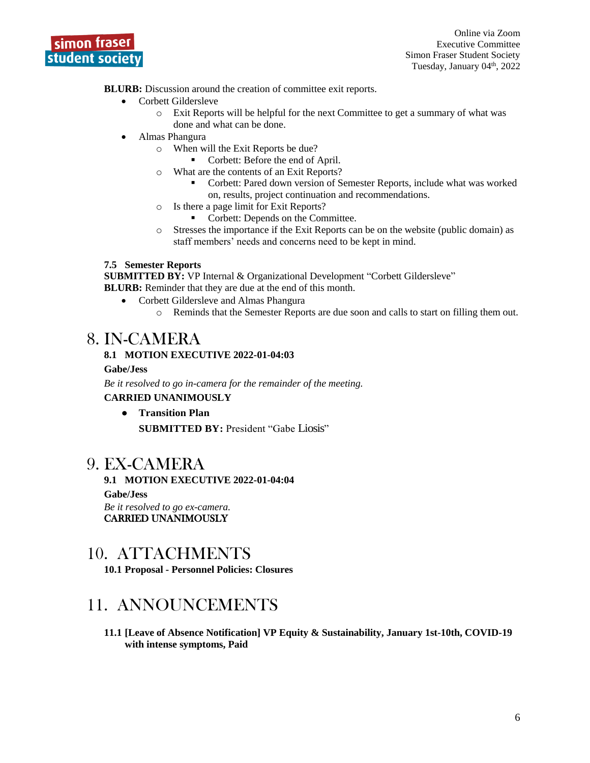

Online via Zoom Executive Committee Simon Fraser Student Society Tuesday, January 04<sup>th</sup>, 2022

**BLURB:** Discussion around the creation of committee exit reports.

- Corbett Gildersleve
	- o Exit Reports will be helpful for the next Committee to get a summary of what was done and what can be done.
- Almas Phangura
	- o When will the Exit Reports be due?
		- Corbett: Before the end of April.
	- o What are the contents of an Exit Reports?
		- Corbett: Pared down version of Semester Reports, include what was worked on, results, project continuation and recommendations.
	- o Is there a page limit for Exit Reports?
		- Corbett: Depends on the Committee.
	- o Stresses the importance if the Exit Reports can be on the website (public domain) as staff members' needs and concerns need to be kept in mind.

#### **7.5 Semester Reports**

**SUBMITTED BY:** VP Internal & Organizational Development "Corbett Gildersleve"

**BLURB:** Reminder that they are due at the end of this month.

- Corbett Gildersleve and Almas Phangura
	- o Reminds that the Semester Reports are due soon and calls to start on filling them out.

## 8. IN-CAMERA

#### **8.1 MOTION EXECUTIVE 2022-01-04:03**

#### **Gabe/Jess**

*Be it resolved to go in-camera for the remainder of the meeting.* **CARRIED UNANIMOUSLY**

● **Transition Plan SUBMITTED BY:** President "Gabe Liosis"

## 9. EX-CAMERA

**9.1 MOTION EXECUTIVE 2022-01-04:04 Gabe/Jess** *Be it resolved to go ex-camera.*  CARRIED UNANIMOUSLY

## 10. ATTACHMENTS

**10.1 Proposal - [Personnel Policies: Closures](https://docs.google.com/document/d/1OEgt_qWSf5u8kr1AxucxfBHp21qZ32dprSQGlMQmfj0/edit?usp=sharing)**

## 11. ANNOUNCEMENTS

**11.1 [Leave of Absence Notification] VP Equity & Sustainability, January 1st-10th, COVID-19 with intense symptoms, Paid**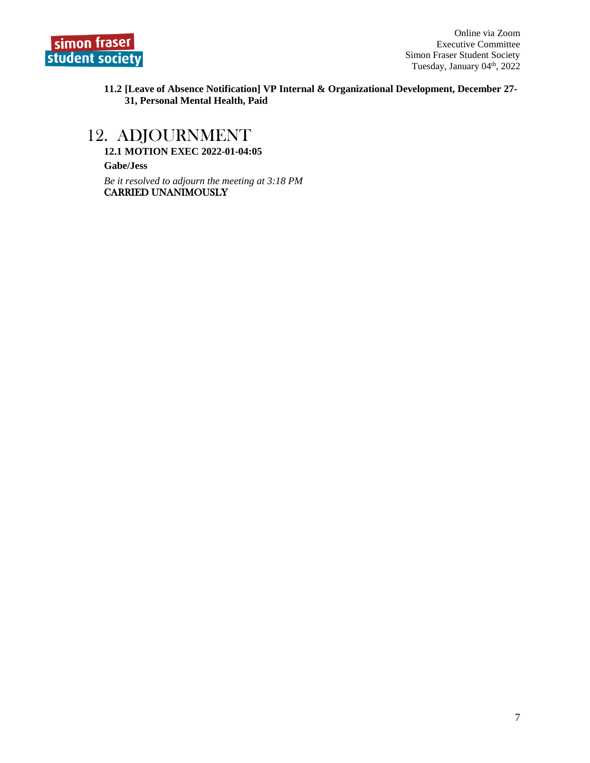

**11.2 [Leave of Absence Notification] VP Internal & Organizational Development, December 27- 31, Personal Mental Health, Paid**

## 12. ADJOURNMENT

**12.1 MOTION EXEC 2022-01-04:05**

**Gabe/Jess**

*Be it resolved to adjourn the meeting at 3:18 PM* CARRIED UNANIMOUSLY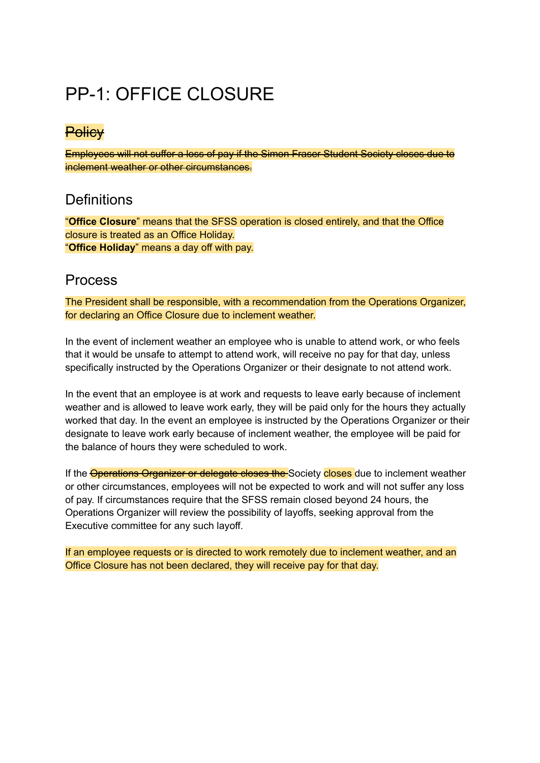# PP-1: OFFICE CLOSURE

## **Policy**

Employees will not suffer a loss of pay if the Simon Fraser Student Society closes due to inclement weather or other circumstances.

## **Definitions**

"**Office Closure**" means that the SFSS operation is closed entirely, and that the Office closure is treated as an Office Holiday. "**Office Holiday**" means a day off with pay.

## Process

The President shall be responsible, with a recommendation from the Operations Organizer, for declaring an Office Closure due to inclement weather.

In the event of inclement weather an employee who is unable to attend work, or who feels that it would be unsafe to attempt to attend work, will receive no pay for that day, unless specifically instructed by the Operations Organizer or their designate to not attend work.

In the event that an employee is at work and requests to leave early because of inclement weather and is allowed to leave work early, they will be paid only for the hours they actually worked that day. In the event an employee is instructed by the Operations Organizer or their designate to leave work early because of inclement weather, the employee will be paid for the balance of hours they were scheduled to work.

If the **Operations Organizer or delegate closes the** Society closes due to inclement weather or other circumstances, employees will not be expected to work and will not suffer any loss of pay. If circumstances require that the SFSS remain closed beyond 24 hours, the Operations Organizer will review the possibility of layoffs, seeking approval from the Executive committee for any such layoff.

If an employee requests or is directed to work remotely due to inclement weather, and an Office Closure has not been declared, they will receive pay for that day.